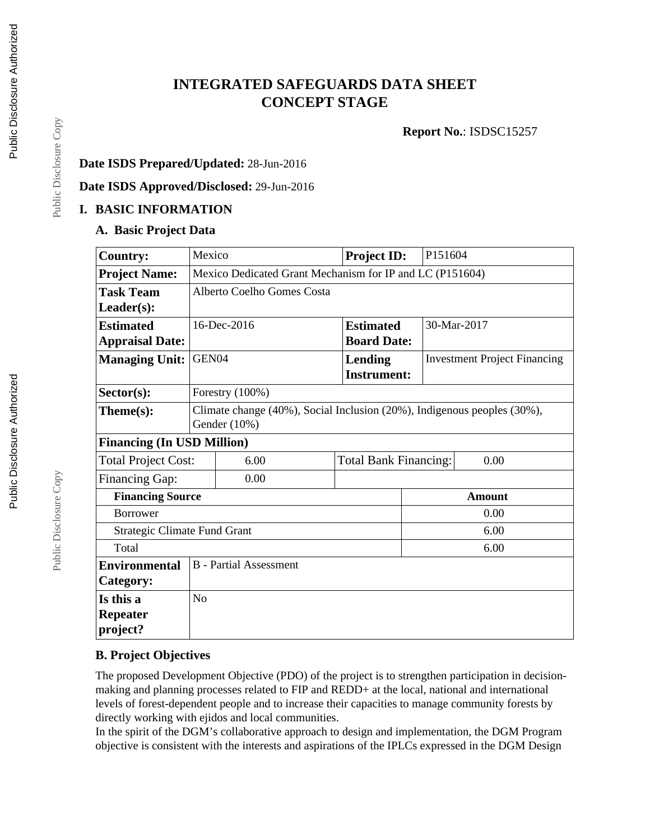# **INTEGRATED SAFEGUARDS DATA SHEET CONCEPT STAGE**

**Report No.**: ISDSC15257

## **Date ISDS Prepared/Updated:** 28-Jun-2016

**Date ISDS Approved/Disclosed:** 29-Jun-2016

#### **I. BASIC INFORMATION**

#### **A. Basic Project Data**

| <b>Country:</b>                     | Mexico                                                                                     |      | <b>Project ID:</b>                   | P151604                             |  |  |
|-------------------------------------|--------------------------------------------------------------------------------------------|------|--------------------------------------|-------------------------------------|--|--|
| <b>Project Name:</b>                | Mexico Dedicated Grant Mechanism for IP and LC (P151604)                                   |      |                                      |                                     |  |  |
| <b>Task Team</b>                    | Alberto Coelho Gomes Costa                                                                 |      |                                      |                                     |  |  |
| $Leader(s)$ :                       |                                                                                            |      |                                      |                                     |  |  |
| <b>Estimated</b>                    | 16-Dec-2016                                                                                |      | <b>Estimated</b>                     | 30-Mar-2017                         |  |  |
| <b>Appraisal Date:</b>              |                                                                                            |      | <b>Board Date:</b>                   |                                     |  |  |
| <b>Managing Unit:</b>               | GEN04                                                                                      |      | <b>Lending</b><br><b>Instrument:</b> | <b>Investment Project Financing</b> |  |  |
| Sector(s):                          | Forestry (100%)                                                                            |      |                                      |                                     |  |  |
| Theme(s):                           | Climate change (40%), Social Inclusion (20%), Indigenous peoples (30%),<br>Gender $(10\%)$ |      |                                      |                                     |  |  |
| <b>Financing (In USD Million)</b>   |                                                                                            |      |                                      |                                     |  |  |
| <b>Total Project Cost:</b>          | 6.00                                                                                       |      | <b>Total Bank Financing:</b>         | 0.00                                |  |  |
| Financing Gap:                      |                                                                                            | 0.00 |                                      |                                     |  |  |
| <b>Financing Source</b>             |                                                                                            |      |                                      | <b>Amount</b>                       |  |  |
| <b>Borrower</b>                     |                                                                                            |      |                                      | 0.00                                |  |  |
| <b>Strategic Climate Fund Grant</b> |                                                                                            |      |                                      | 6.00                                |  |  |
| Total                               |                                                                                            |      |                                      | 6.00                                |  |  |
| <b>Environmental</b>                | <b>B</b> - Partial Assessment                                                              |      |                                      |                                     |  |  |
| Category:                           |                                                                                            |      |                                      |                                     |  |  |
| Is this a                           | N <sub>o</sub>                                                                             |      |                                      |                                     |  |  |
| <b>Repeater</b><br>project?         |                                                                                            |      |                                      |                                     |  |  |

## **B. Project Objectives**

The proposed Development Objective (PDO) of the project is to strengthen participation in decisionmaking and planning processes related to FIP and REDD+ at the local, national and international levels of forest-dependent people and to increase their capacities to manage community forests by directly working with ejidos and local communities.

In the spirit of the DGM's collaborative approach to design and implementation, the DGM Program objective is consistent with the interests and aspirations of the IPLCs expressed in the DGM Design

Public Disclosure Copy

Public Disclosure Copy

Public Disclosure Copy

Public Disclosure Copy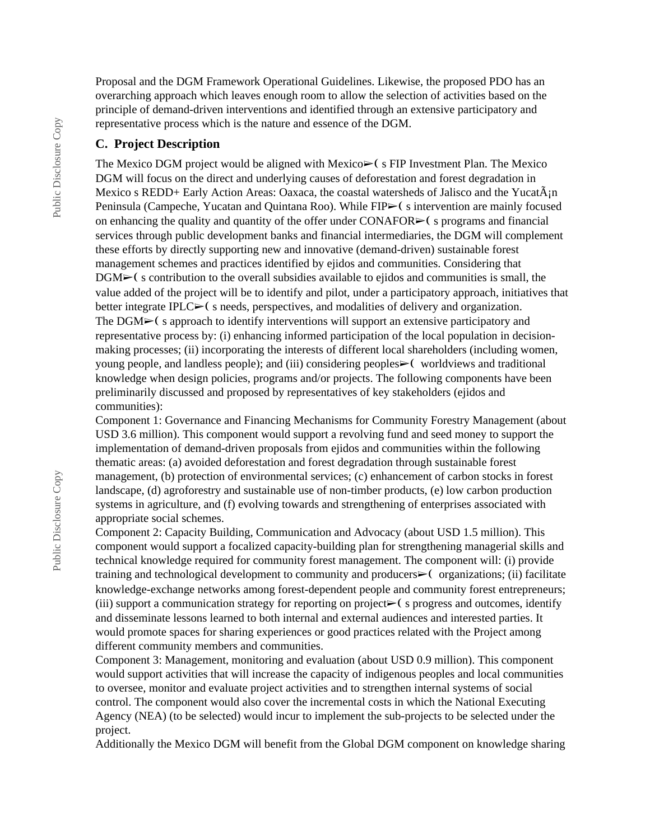Proposal and the DGM Framework Operational Guidelines. Likewise, the proposed PDO has an overarching approach which leaves enough room to allow the selection of activities based on the principle of demand-driven interventions and identified through an extensive participatory and representative process which is the nature and essence of the DGM.

#### **C. Project Description**

The Mexico DGM project would be aligned with Mexico $\triangleright$  (s FIP Investment Plan. The Mexico DGM will focus on the direct and underlying causes of deforestation and forest degradation in Mexico s REDD+ Early Action Areas: Oaxaca, the coastal watersheds of Jalisco and the Yucat $\tilde{A}_{i}$ n Peninsula (Campeche, Yucatan and Quintana Roo). While FIP► (s intervention are mainly focused on enhancing the quality and quantity of the offer under  $CONAFOR \rightarrow$  (s programs and financial services through public development banks and financial intermediaries, the DGM will complement these efforts by directly supporting new and innovative (demand-driven) sustainable forest management schemes and practices identified by ejidos and communities. Considering that DGM► (s contribution to the overall subsidies available to ejidos and communities is small, the value added of the project will be to identify and pilot, under a participatory approach, initiatives that better integrate IPLC $\blacktriangleright$  (s needs, perspectives, and modalities of delivery and organization. The DGM► (s approach to identify interventions will support an extensive participatory and representative process by: (i) enhancing informed participation of the local population in decisionmaking processes; (ii) incorporating the interests of different local shareholders (including women, young people, and landless people); and (iii) considering peoples⊳( worldviews and traditional knowledge when design policies, programs and/or projects. The following components have been preliminarily discussed and proposed by representatives of key stakeholders (ejidos and communities):

Component 1: Governance and Financing Mechanisms for Community Forestry Management (about USD 3.6 million). This component would support a revolving fund and seed money to support the implementation of demand-driven proposals from ejidos and communities within the following thematic areas: (a) avoided deforestation and forest degradation through sustainable forest management, (b) protection of environmental services; (c) enhancement of carbon stocks in forest landscape, (d) agroforestry and sustainable use of non-timber products, (e) low carbon production systems in agriculture, and (f) evolving towards and strengthening of enterprises associated with appropriate social schemes.

Component 2: Capacity Building, Communication and Advocacy (about USD 1.5 million). This component would support a focalized capacity-building plan for strengthening managerial skills and technical knowledge required for community forest management. The component will: (i) provide training and technological development to community and producers► (organizations; (ii) facilitate knowledge-exchange networks among forest-dependent people and community forest entrepreneurs; (iii) support a communication strategy for reporting on project $\triangleright$  (s progress and outcomes, identify and disseminate lessons learned to both internal and external audiences and interested parties. It would promote spaces for sharing experiences or good practices related with the Project among different community members and communities.

Component 3: Management, monitoring and evaluation (about USD 0.9 million). This component would support activities that will increase the capacity of indigenous peoples and local communities to oversee, monitor and evaluate project activities and to strengthen internal systems of social control. The component would also cover the incremental costs in which the National Executing Agency (NEA) (to be selected) would incur to implement the sub-projects to be selected under the project.

Additionally the Mexico DGM will benefit from the Global DGM component on knowledge sharing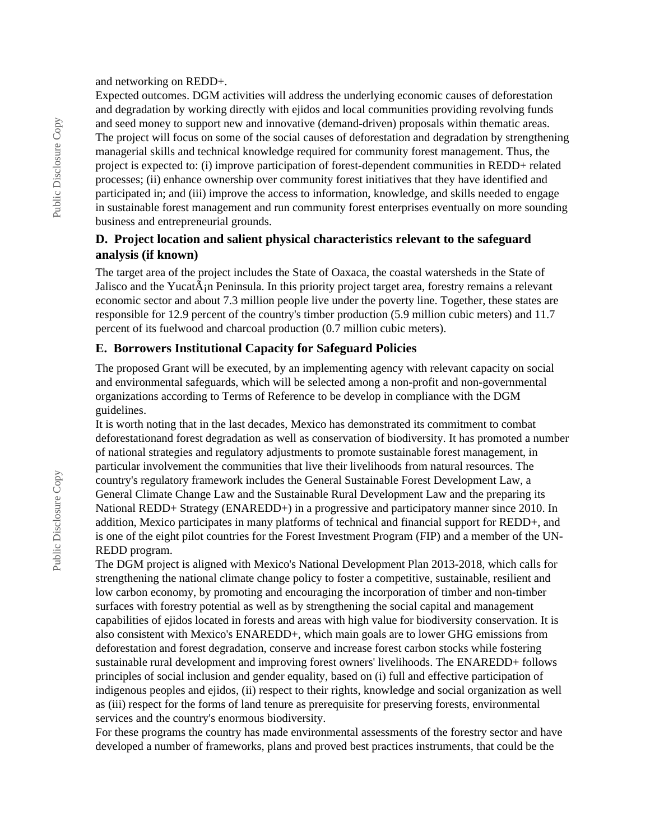and networking on REDD+.

Expected outcomes. DGM activities will address the underlying economic causes of deforestation and degradation by working directly with ejidos and local communities providing revolving funds and seed money to support new and innovative (demand-driven) proposals within thematic areas. The project will focus on some of the social causes of deforestation and degradation by strengthening managerial skills and technical knowledge required for community forest management. Thus, the project is expected to: (i) improve participation of forest-dependent communities in REDD+ related processes; (ii) enhance ownership over community forest initiatives that they have identified and participated in; and (iii) improve the access to information, knowledge, and skills needed to engage in sustainable forest management and run community forest enterprises eventually on more sounding business and entrepreneurial grounds.

### **D. Project location and salient physical characteristics relevant to the safeguard analysis (if known)**

The target area of the project includes the State of Oaxaca, the coastal watersheds in the State of Jalisco and the Yucat $\tilde{A}$ <sub>i</sub>n Peninsula. In this priority project target area, forestry remains a relevant economic sector and about 7.3 million people live under the poverty line. Together, these states are responsible for 12.9 percent of the country's timber production (5.9 million cubic meters) and 11.7 percent of its fuelwood and charcoal production (0.7 million cubic meters).

#### **E. Borrowers Institutional Capacity for Safeguard Policies**

The proposed Grant will be executed, by an implementing agency with relevant capacity on social and environmental safeguards, which will be selected among a non-profit and non-governmental organizations according to Terms of Reference to be develop in compliance with the DGM guidelines.

It is worth noting that in the last decades, Mexico has demonstrated its commitment to combat deforestationand forest degradation as well as conservation of biodiversity. It has promoted a number of national strategies and regulatory adjustments to promote sustainable forest management, in particular involvement the communities that live their livelihoods from natural resources. The country's regulatory framework includes the General Sustainable Forest Development Law, a General Climate Change Law and the Sustainable Rural Development Law and the preparing its National REDD+ Strategy (ENAREDD+) in a progressive and participatory manner since 2010. In addition, Mexico participates in many platforms of technical and financial support for REDD+, and is one of the eight pilot countries for the Forest Investment Program (FIP) and a member of the UN-REDD program.

The DGM project is aligned with Mexico's National Development Plan 2013-2018, which calls for strengthening the national climate change policy to foster a competitive, sustainable, resilient and low carbon economy, by promoting and encouraging the incorporation of timber and non-timber surfaces with forestry potential as well as by strengthening the social capital and management capabilities of ejidos located in forests and areas with high value for biodiversity conservation. It is also consistent with Mexico's ENAREDD+, which main goals are to lower GHG emissions from deforestation and forest degradation, conserve and increase forest carbon stocks while fostering sustainable rural development and improving forest owners' livelihoods. The ENAREDD+ follows principles of social inclusion and gender equality, based on (i) full and effective participation of indigenous peoples and ejidos, (ii) respect to their rights, knowledge and social organization as well as (iii) respect for the forms of land tenure as prerequisite for preserving forests, environmental services and the country's enormous biodiversity.

For these programs the country has made environmental assessments of the forestry sector and have developed a number of frameworks, plans and proved best practices instruments, that could be the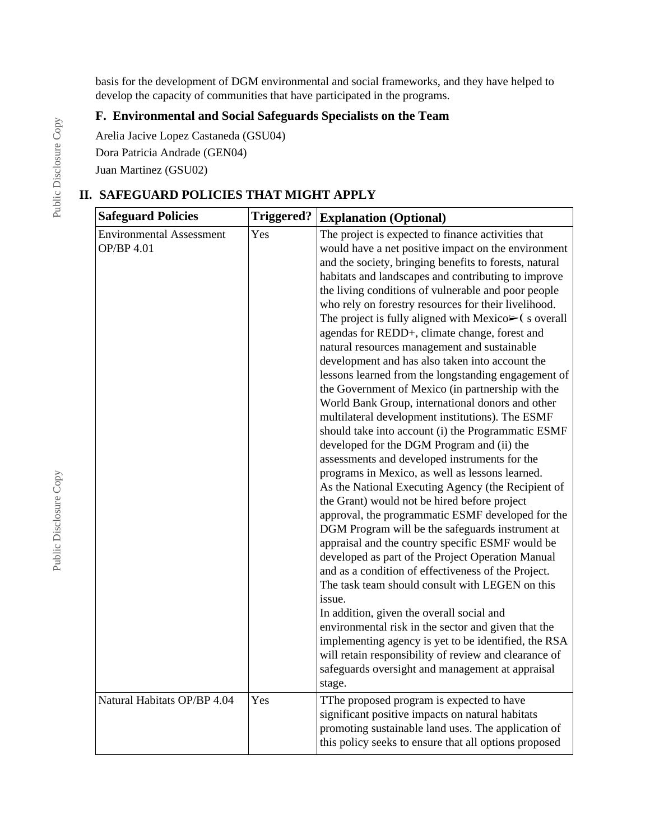basis for the development of DGM environmental and social frameworks, and they have helped to develop the capacity of communities that have participated in the programs.

## **F. Environmental and Social Safeguards Specialists on the Team**

Arelia Jacive Lopez Castaneda (GSU04)

Dora Patricia Andrade (GEN04)

Juan Martinez (GSU02)

# **II. SAFEGUARD POLICIES THAT MIGHT APPLY**

| <b>Safeguard Policies</b>                            | <b>Triggered?</b> | <b>Explanation (Optional)</b>                                                                                                                                                                                                                                                                                                                                                                                                                                                                                                                                                                                                                                                                                                                                                                                                                                                                                                                                                                                                                                                                                                                                                                                                                                                                                                                                                                                                                                                                                                                                                                                                                                                                                                    |
|------------------------------------------------------|-------------------|----------------------------------------------------------------------------------------------------------------------------------------------------------------------------------------------------------------------------------------------------------------------------------------------------------------------------------------------------------------------------------------------------------------------------------------------------------------------------------------------------------------------------------------------------------------------------------------------------------------------------------------------------------------------------------------------------------------------------------------------------------------------------------------------------------------------------------------------------------------------------------------------------------------------------------------------------------------------------------------------------------------------------------------------------------------------------------------------------------------------------------------------------------------------------------------------------------------------------------------------------------------------------------------------------------------------------------------------------------------------------------------------------------------------------------------------------------------------------------------------------------------------------------------------------------------------------------------------------------------------------------------------------------------------------------------------------------------------------------|
| <b>Environmental Assessment</b><br><b>OP/BP 4.01</b> | Yes               | The project is expected to finance activities that<br>would have a net positive impact on the environment<br>and the society, bringing benefits to forests, natural<br>habitats and landscapes and contributing to improve<br>the living conditions of vulnerable and poor people<br>who rely on forestry resources for their livelihood.<br>The project is fully aligned with Mexico $\triangleright$ (s overall<br>agendas for REDD+, climate change, forest and<br>natural resources management and sustainable<br>development and has also taken into account the<br>lessons learned from the longstanding engagement of<br>the Government of Mexico (in partnership with the<br>World Bank Group, international donors and other<br>multilateral development institutions). The ESMF<br>should take into account (i) the Programmatic ESMF<br>developed for the DGM Program and (ii) the<br>assessments and developed instruments for the<br>programs in Mexico, as well as lessons learned.<br>As the National Executing Agency (the Recipient of<br>the Grant) would not be hired before project<br>approval, the programmatic ESMF developed for the<br>DGM Program will be the safeguards instrument at<br>appraisal and the country specific ESMF would be<br>developed as part of the Project Operation Manual<br>and as a condition of effectiveness of the Project.<br>The task team should consult with LEGEN on this<br>issue.<br>In addition, given the overall social and<br>environmental risk in the sector and given that the<br>implementing agency is yet to be identified, the RSA<br>will retain responsibility of review and clearance of<br>safeguards oversight and management at appraisal<br>stage. |
| Natural Habitats OP/BP 4.04                          | Yes               | TThe proposed program is expected to have<br>significant positive impacts on natural habitats<br>promoting sustainable land uses. The application of<br>this policy seeks to ensure that all options proposed                                                                                                                                                                                                                                                                                                                                                                                                                                                                                                                                                                                                                                                                                                                                                                                                                                                                                                                                                                                                                                                                                                                                                                                                                                                                                                                                                                                                                                                                                                                    |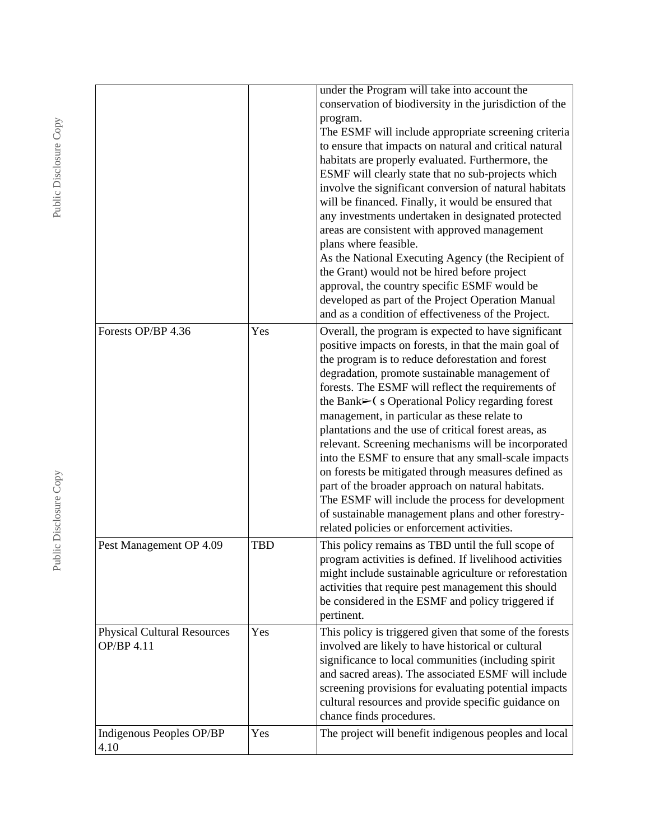|                                                  |            | under the Program will take into account the<br>conservation of biodiversity in the jurisdiction of the<br>program.<br>The ESMF will include appropriate screening criteria<br>to ensure that impacts on natural and critical natural<br>habitats are properly evaluated. Furthermore, the<br>ESMF will clearly state that no sub-projects which<br>involve the significant conversion of natural habitats<br>will be financed. Finally, it would be ensured that<br>any investments undertaken in designated protected<br>areas are consistent with approved management<br>plans where feasible.<br>As the National Executing Agency (the Recipient of<br>the Grant) would not be hired before project<br>approval, the country specific ESMF would be<br>developed as part of the Project Operation Manual<br>and as a condition of effectiveness of the Project. |
|--------------------------------------------------|------------|---------------------------------------------------------------------------------------------------------------------------------------------------------------------------------------------------------------------------------------------------------------------------------------------------------------------------------------------------------------------------------------------------------------------------------------------------------------------------------------------------------------------------------------------------------------------------------------------------------------------------------------------------------------------------------------------------------------------------------------------------------------------------------------------------------------------------------------------------------------------|
| Forests OP/BP 4.36                               | Yes        | Overall, the program is expected to have significant<br>positive impacts on forests, in that the main goal of<br>the program is to reduce deforestation and forest<br>degradation, promote sustainable management of<br>forests. The ESMF will reflect the requirements of<br>the Bank $\triangleright$ (s Operational Policy regarding forest<br>management, in particular as these relate to<br>plantations and the use of critical forest areas, as<br>relevant. Screening mechanisms will be incorporated<br>into the ESMF to ensure that any small-scale impacts<br>on forests be mitigated through measures defined as<br>part of the broader approach on natural habitats.<br>The ESMF will include the process for development<br>of sustainable management plans and other forestry-<br>related policies or enforcement activities.                        |
| Pest Management OP 4.09                          | <b>TBD</b> | This policy remains as TBD until the full scope of<br>program activities is defined. If livelihood activities<br>might include sustainable agriculture or reforestation<br>activities that require pest management this should<br>be considered in the ESMF and policy triggered if<br>pertinent.                                                                                                                                                                                                                                                                                                                                                                                                                                                                                                                                                                   |
| <b>Physical Cultural Resources</b><br>OP/BP 4.11 | Yes        | This policy is triggered given that some of the forests<br>involved are likely to have historical or cultural<br>significance to local communities (including spirit<br>and sacred areas). The associated ESMF will include<br>screening provisions for evaluating potential impacts<br>cultural resources and provide specific guidance on<br>chance finds procedures.                                                                                                                                                                                                                                                                                                                                                                                                                                                                                             |
| Indigenous Peoples OP/BP<br>4.10                 | Yes        | The project will benefit indigenous peoples and local                                                                                                                                                                                                                                                                                                                                                                                                                                                                                                                                                                                                                                                                                                                                                                                                               |

Public Disclosure Copy Public Disclosure Copy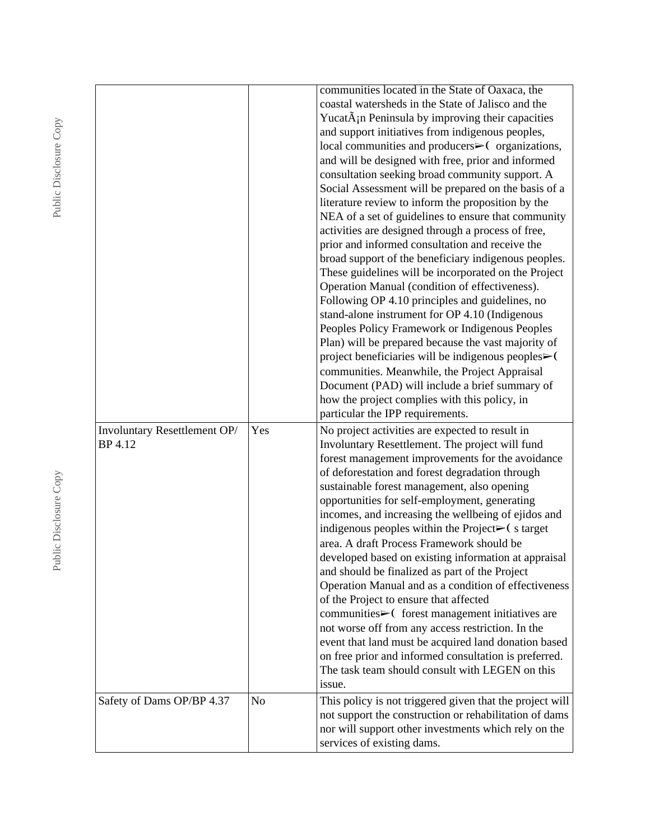|                                         |     | communities located in the State of Oaxaca, the<br>coastal watersheds in the State of Jalisco and the<br>YucatA <sub>i</sub> n Peninsula by improving their capacities<br>and support initiatives from indigenous peoples,<br>local communities and producers $\triangleright$ (organizations,<br>and will be designed with free, prior and informed<br>consultation seeking broad community support. A<br>Social Assessment will be prepared on the basis of a<br>literature review to inform the proposition by the<br>NEA of a set of guidelines to ensure that community<br>activities are designed through a process of free,<br>prior and informed consultation and receive the<br>broad support of the beneficiary indigenous peoples.<br>These guidelines will be incorporated on the Project<br>Operation Manual (condition of effectiveness).<br>Following OP 4.10 principles and guidelines, no<br>stand-alone instrument for OP 4.10 (Indigenous<br>Peoples Policy Framework or Indigenous Peoples<br>Plan) will be prepared because the vast majority of<br>project beneficiaries will be indigenous peoples>(<br>communities. Meanwhile, the Project Appraisal<br>Document (PAD) will include a brief summary of<br>how the project complies with this policy, in<br>particular the IPP requirements. |
|-----------------------------------------|-----|---------------------------------------------------------------------------------------------------------------------------------------------------------------------------------------------------------------------------------------------------------------------------------------------------------------------------------------------------------------------------------------------------------------------------------------------------------------------------------------------------------------------------------------------------------------------------------------------------------------------------------------------------------------------------------------------------------------------------------------------------------------------------------------------------------------------------------------------------------------------------------------------------------------------------------------------------------------------------------------------------------------------------------------------------------------------------------------------------------------------------------------------------------------------------------------------------------------------------------------------------------------------------------------------------------------------|
| Involuntary Resettlement OP/<br>BP 4.12 | Yes | No project activities are expected to result in<br>Involuntary Resettlement. The project will fund<br>forest management improvements for the avoidance<br>of deforestation and forest degradation through<br>sustainable forest management, also opening<br>opportunities for self-employment, generating<br>incomes, and increasing the wellbeing of ejidos and<br>indigenous peoples within the Project $\blacktriangleright$ (starget<br>area. A draft Process Framework should be<br>developed based on existing information at appraisal<br>and should be finalized as part of the Project<br>Operation Manual and as a condition of effectiveness<br>of the Project to ensure that affected<br>communities $\triangleright$ (forest management initiatives are<br>not worse off from any access restriction. In the<br>event that land must be acquired land donation based<br>on free prior and informed consultation is preferred.<br>The task team should consult with LEGEN on this<br>issue.                                                                                                                                                                                                                                                                                                             |
| Safety of Dams OP/BP 4.37               | No  | This policy is not triggered given that the project will<br>not support the construction or rehabilitation of dams<br>nor will support other investments which rely on the<br>services of existing dams.                                                                                                                                                                                                                                                                                                                                                                                                                                                                                                                                                                                                                                                                                                                                                                                                                                                                                                                                                                                                                                                                                                            |